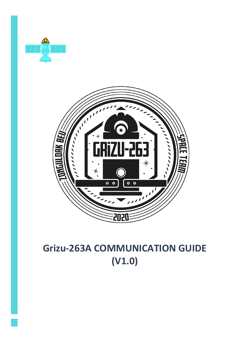



# **Grizu-263A COMMUNICATION GUIDE (V1.0)**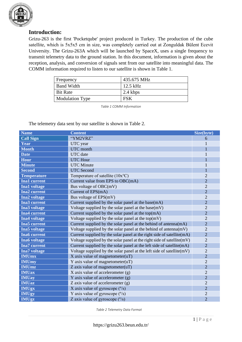

# **Introduction:**

Grizu-263 is the first 'Pocketqube' project produced in Turkey. The production of the cube satellite, which is 5x5x5 cm in size, was completely carried out at Zonguldak Bülent Ecevit University. The Grizu-263A which will be launched by SpaceX, uses a single frequency to transmit telemetry data to the ground station. In this document, information is given about the reception, analysis, and conversion of signals sent from our satellite into meaningful data. The COMM information required to listen to our satellite is shown in Table 1.

| Frequency              | 435.675 MHz |
|------------------------|-------------|
| <b>Band Width</b>      | $12.5$ kHz  |
| <b>Bit Rate</b>        | 2.4 kbps    |
| <b>Modulation Type</b> | FSK         |

*Table 1 COMM Information*

The telemetry data sent by our satellite is shown in Table 2.

| <b>Name</b>         | <b>Content</b>                                                         | Size(byte)     |
|---------------------|------------------------------------------------------------------------|----------------|
| <b>Call Sign</b>    | "YM2VRZ"                                                               | 6              |
| Year                | UTC year                                                               |                |
| <b>Month</b>        | <b>UTC</b> month                                                       |                |
| <b>Date</b>         | <b>UTC</b> date                                                        |                |
| <b>Hour</b>         | <b>UTC Hour</b>                                                        |                |
| <b>Minute</b>       | <b>UTC</b> Minute                                                      |                |
| <b>Second</b>       | <b>UTC</b> Second                                                      |                |
| <b>Temperature</b>  | Temperature of satellite $(10x^{\circ}C)$                              | $\overline{2}$ |
| <b>Ina1</b> current | Current value from EPS to OBC(mA)                                      | $\overline{2}$ |
| <b>Ina1</b> voltage | Bus voltage of OBC(mV)                                                 | $\overline{2}$ |
| <b>Ina2</b> current | Current of EPS(mA)                                                     | $\overline{2}$ |
| <b>Ina2</b> voltage | Bus voltage of EPS(mV)                                                 | $\overline{2}$ |
| Ina3 current        | Current supplied by the solar panel at the base(mA)                    | $\overline{2}$ |
| <b>Ina3</b> voltage | Voltage supplied by the solar panel at the base(mV)                    | $\overline{2}$ |
| <b>Ina4</b> current | Current supplied by the solar panel at the top $(mA)$                  | $\overline{2}$ |
| <b>Ina4</b> voltage | Voltage supplied by the solar panel at the top $(mV)$                  | $\overline{2}$ |
| <b>Ina5</b> current | Current supplied by the solar panel at the behind of antenna(mA)       | $\overline{2}$ |
| Ina5 voltage        | Voltage supplied by the solar panel at the behind of antenna $(mV)$    | $\overline{2}$ |
| <b>Ina6</b> current | Current supplied by the solar panel at the right side of satellite(mA) | $\overline{2}$ |
| <b>Ina6</b> voltage | Voltage supplied by the solar panel at the right side of satellite(mV) | $\overline{2}$ |
| <b>Ina7</b> current | Current supplied by the solar panel at the left side of satellite(mA)  | $\overline{2}$ |
| <b>Ina7</b> voltage | Voltage supplied by the solar panel at the left side of satellite(mV)  | $\overline{2}$ |
| <b>IMUmx</b>        | X axis value of magnetometer $(uT)$                                    | $\overline{2}$ |
| <b>IMUmy</b>        | Y axis value of magnetometer $(uT)$                                    | $\overline{2}$ |
| <b>IMUmz</b>        | Z axis value of magnetometer $(uT)$                                    | $\overline{2}$ |
| <b>IMUax</b>        | X axis value of accelerometer $(g)$                                    | $\overline{2}$ |
| <b>IMUay</b>        | Y axis value of accelerometer $(g)$                                    | $\overline{2}$ |
| <b>IMUaz</b>        | Z axis value of accelerometer $(g)$                                    | $\overline{2}$ |
| <b>IMUgx</b>        | X axis value of gyroscope $(^{\circ}/s)$                               | $\overline{2}$ |
| <b>IMUgy</b>        | Y axis value of gyroscope $(^{\circ}/s)$                               | $\overline{2}$ |
| <b>IMUgz</b>        | Z axis value of gyroscope $(^{\circ}/s)$                               | $\overline{2}$ |

*Table 2 Telemetry Data Format*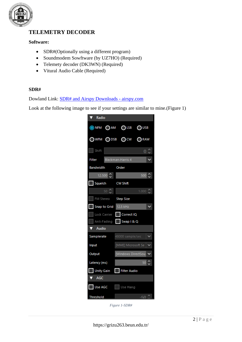

# **TELEMETRY DECODER**

### **Software:**

- SDR#(Optionally using a different program)
- Soundmodem Sowftware (by UZ7HO) (Required)
- Telemety decoder (DK3WN) (Required)
- Vitural Audio Cable (Required)

#### **SDR#**

Dowland Link: [SDR# and Airspy Downloads -](https://airspy.com/download/) airspy.com

Look at the following image to see if your settings are similar to mine.(Figure 1)

| Radio                          |                          |          |
|--------------------------------|--------------------------|----------|
| ONFM OAM OLSB OUSB             |                          |          |
| OWFM ODSB OCW ORAW             |                          |          |
| Shift                          |                          | 0        |
| Filter                         | <b>Blackman-Harris 4</b> |          |
| Bandwidth                      | Order                    |          |
| 12.500 $\hat{\heartsuit}$      |                          | 500<br>≎ |
| Squeich                        | <b>CW Shift</b>          |          |
| $50 \left\lvert \right\rangle$ |                          | 1.000    |
| FM Stereo Step Size            |                          |          |
| Snap to Grid                   | 12.5 kHz                 |          |
| Lock Carrier                   | Correct IQ               |          |
| Anti-Fading                    | Swap   & Q               |          |
| Audio                          |                          |          |
| Samplerate                     | 48000 sample/sec         |          |
| Input                          | [MME] Microsoft Se       |          |
| Output                         | [Windows DirectSou       |          |
| Latency (ms)                   |                          | 50       |
| <b>Unity Gain</b>              | <b>Filter Audio</b><br>H |          |
| <b>AGC</b>                     |                          |          |
| Use AGC                        | $\Box$ Use Hang          |          |
| Threshold                      |                          | -50 €    |

*Figure 1-SDR#*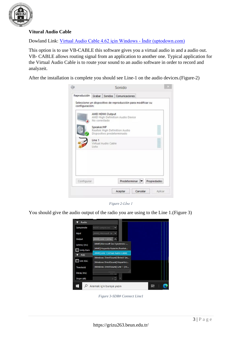

## **Vitural Audio Cable**

Dowland Link: [Virtual Audio Cable 4.62 için Windows -](https://virtual-audio-cable.tr.uptodown.com/windows) İndir (uptodown.com)

This option is to use VB-CABLE this software gives you a virtual audio in and a audio out. VB- CABLE allows routing signal from an application to another one. Typical application for the Virtual Audio Cable is to route your sound to an audio software in order to record and analyzeit.

After the installation is complete you should see Line-1 on the audio devices.(Figure-2)



*Figure 2-Lİne 1*

You should give the audio output of the radio you are using to the Line 1.(Figure 3)



*Figure 3-SDR# Connect Line1*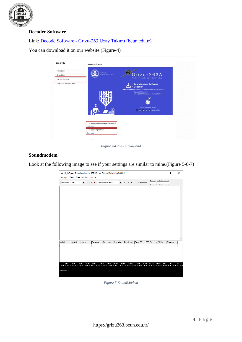

## **Decoder Software**

Link: Decode Software - [Grizu-263 Uzay Takımı \(beun.edu.tr\)](https://grizu263.beun.edu.tr/kup-uydu/decode.html)

You can download it on our website.(Figure-4)

| Cep Uydu                                     | Decode Software                  |                                                             |
|----------------------------------------------|----------------------------------|-------------------------------------------------------------|
| PocketQube                                   | SATELLITE<br>DECODE SYSTEM APPS  |                                                             |
| Grizu-263A                                   |                                  | Grizu-263A<br>First Pocketqube Satellite in Turkey          |
| Decode Software<br>Grizu-263A 3D Print Model |                                  | · Soundmodem Software                                       |
|                                              |                                  | • Decoder                                                   |
|                                              |                                  | <b>Special Thanks To</b><br>Mike (DK3WN) and Andrei (UZ7HO) |
|                                              |                                  |                                                             |
|                                              |                                  |                                                             |
|                                              |                                  | grizu263.beun.edu.tr<br>( 6 8 9 13 in /grizu263             |
|                                              | <b>Brail</b>                     |                                                             |
|                                              |                                  |                                                             |
|                                              | > Soundmodem Software (by UZ7HO) |                                                             |
|                                              | Download                         |                                                             |
|                                              | > Decoder (DK3WN)<br>Download    |                                                             |
|                                              |                                  |                                                             |

*Figure 4-How To Dowland*

#### **Soundmodem**

Look at the following image to see if your settings are similar to mine.(Figure 5-6-7)

|        | Settings View Clear monitor About |                                            |           | High-Speed SoundModem by UZ7HO - Ver 0.01b - [Grizu263A 2400bd] |              |                  |               |        |                                       | $\Box$    | $\times$ |
|--------|-----------------------------------|--------------------------------------------|-----------|-----------------------------------------------------------------|--------------|------------------|---------------|--------|---------------------------------------|-----------|----------|
|        | Grizu263A 2400bd                  | $\blacktriangleright$ DCDA $\blacklozenge$ |           | Grizu263A 9600bd                                                | $\mathbf{r}$ | $DCDB$ $\bullet$ | DCD threshold |        | <b>London, London and London</b><br>. |           |          |
|        |                                   |                                            |           |                                                                 |              |                  |               |        |                                       |           |          |
|        |                                   |                                            |           |                                                                 |              |                  |               |        |                                       |           |          |
|        |                                   |                                            |           |                                                                 |              |                  |               |        |                                       |           |          |
|        |                                   |                                            |           |                                                                 |              |                  |               |        |                                       |           |          |
|        |                                   |                                            |           |                                                                 |              |                  |               |        |                                       |           |          |
|        |                                   |                                            |           |                                                                 |              |                  |               |        |                                       |           |          |
|        |                                   |                                            |           |                                                                 |              |                  |               |        |                                       |           |          |
|        |                                   |                                            |           |                                                                 |              |                  |               |        |                                       |           |          |
|        |                                   |                                            |           |                                                                 |              |                  |               |        |                                       |           |          |
|        |                                   |                                            |           |                                                                 |              |                  |               |        |                                       |           |          |
|        |                                   |                                            |           |                                                                 |              |                  |               |        |                                       |           |          |
| MyCall | DestCall                          | Status                                     | Sent pkts | Sent bytes                                                      | Revd pkts    | Rovd bytes       | Revd FC       | CPS TX | CPS RX                                | Direction |          |
|        |                                   |                                            |           |                                                                 |              |                  |               |        |                                       |           |          |
|        |                                   |                                            |           |                                                                 |              |                  |               |        |                                       |           |          |
|        |                                   |                                            |           |                                                                 |              |                  |               |        |                                       |           |          |
|        |                                   |                                            |           |                                                                 |              |                  |               |        |                                       |           |          |
|        |                                   |                                            |           |                                                                 |              |                  |               |        |                                       |           |          |
|        |                                   |                                            |           |                                                                 |              |                  |               |        |                                       |           |          |

*Figure 5-SoundModem*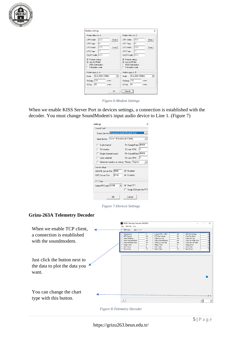

| Modem settings                                                                        |      |                                                                                      | $\times$             |
|---------------------------------------------------------------------------------------|------|--------------------------------------------------------------------------------------|----------------------|
| Modem filters ch: A:                                                                  |      | Modem filters ch: R                                                                  |                      |
| 2250<br>LPF1 Width                                                                    | Show | 9000<br>LPF1 Width                                                                   | Show                 |
| G4<br>LPF1 Taps                                                                       |      | 64<br>LPF1 Taps                                                                      |                      |
| 1750<br>LPF2 Width                                                                    | Show | 7000<br>LPF2 Width                                                                   | Show                 |
| 16<br>LPF2 Taps                                                                       |      | 16<br>LPF2 Taps                                                                      |                      |
| 2400<br><b>TXLPF Width</b>                                                            |      | 9600<br><b>TXLPF Width</b>                                                           |                      |
| $\nabla$ Default settings<br>non-AX25 filter<br>KISS Optimization<br>Full-duplex mode |      | Default settings<br>⊽<br>l⊽ non-AX25 filter<br>KISS Optimization<br>Full-duplex mode |                      |
| Modem type ch: A                                                                      |      | Modem type ch: B                                                                     |                      |
| Grizu263A 2400bd<br>Mode<br>▾                                                         |      | Grizu263A 9600bd<br>Mode                                                             | $\blacktriangledown$ |
| 150<br>TXDelay                                                                        | msec | 150<br><b>TXDelav</b>                                                                | msec                 |
| 50<br>TXT ail                                                                         | msec | 50<br>TXT ail                                                                        | msec                 |
|                                                                                       | Πk   | ,,,,,,,,,,,,,,,,,,,,,,,,,,,,,,<br>Liancel                                            |                      |

*Figure 6-Modem Settings*

When we enable KISS Server Port in devices settings, a connection is established with the decoder. You must change SoundModem's input audio device to Line 1. (Figure 7)

| <b>Settings</b>                                             |                         |  |  |  |
|-------------------------------------------------------------|-------------------------|--|--|--|
| Sound Card                                                  |                         |  |  |  |
| Output device Hoparlor/Kulaklık (Realtek High               |                         |  |  |  |
| Line 1 (Virtual Audio Cable)<br>Input device                |                         |  |  |  |
| Dual channel                                                | 48000<br>TX SampleRate  |  |  |  |
| TX rotation                                                 | O<br>TX corr PPM        |  |  |  |
| Single channel output                                       | 48000<br>RX SampleRate  |  |  |  |
| Color waterfall                                             | O<br><b>RX corr PPM</b> |  |  |  |
| Minimized window on startup Priority   Highest              |                         |  |  |  |
| Server setup                                                |                         |  |  |  |
| 8000<br>AGWPE Server Port                                   | $\nabla$ Enabled        |  |  |  |
| 8100<br>$\overline{\mathbf{v}}$ Enabled<br>KISS Server Port |                         |  |  |  |
| PTT Port                                                    |                         |  |  |  |
| Select PTT port NONE<br>Dual PTT<br>v.                      |                         |  |  |  |
|                                                             | Swap COM pins for PTT   |  |  |  |
| OΚ                                                          | Cancel                  |  |  |  |

*Figure 7-Devices Settings*

#### **Grizu-263A Telemetry Decoder**

| When we enable TCP client,<br>a connection is established<br>with the soundmodem. | <b>GRIZU Telemetry Decoder (DK3WN)</b><br>$\Box$<br>$\times$<br>File TLM File Info<br>$F$ TCP client<br><b>Dosed</b><br>C Current EPS -> DBC<br>C OBC Bus Voltage<br>må<br>Temperature<br>с<br>m<br>mA.<br>mV<br>EPS Current<br>C EPS Bus Voltage<br>C Solar Curr Base<br>mA<br>mV<br>C Solar Volt Top<br>Solar Volt Base<br>C Solar Curr Top<br>mÂ<br>m<br>Solar Curr behind Ant<br>mA<br>C Solar Volt behind Ant<br>C Solar Curr Right Side<br>mV<br>m<br>Solar Volt Right Side<br>mV<br>C Solar Curr Left Side<br>C Solar Volt Left Side<br>mÂ<br>μT<br>C Magn Y Axis<br>C Magn Z Axis<br>Magn X Axis<br>μT<br>Acc X Axis<br>C Acc Z Axis<br>C. Acc Y Axis<br>o<br>a<br>o<br>Gyro X Axis<br>$^*$ /s<br>C Gyro Y Axis<br>$\gamma$<br>C Gyro Z Axis |
|-----------------------------------------------------------------------------------|------------------------------------------------------------------------------------------------------------------------------------------------------------------------------------------------------------------------------------------------------------------------------------------------------------------------------------------------------------------------------------------------------------------------------------------------------------------------------------------------------------------------------------------------------------------------------------------------------------------------------------------------------------------------------------------------------------------------------------------------------|
| Just click the button next to<br>the data to plot the data you<br>want.           |                                                                                                                                                                                                                                                                                                                                                                                                                                                                                                                                                                                                                                                                                                                                                      |
| You can change the chart<br>type with this button.                                | $\overline{v}$<br>s                                                                                                                                                                                                                                                                                                                                                                                                                                                                                                                                                                                                                                                                                                                                  |

*Figure 8-Telemetry Decoder*